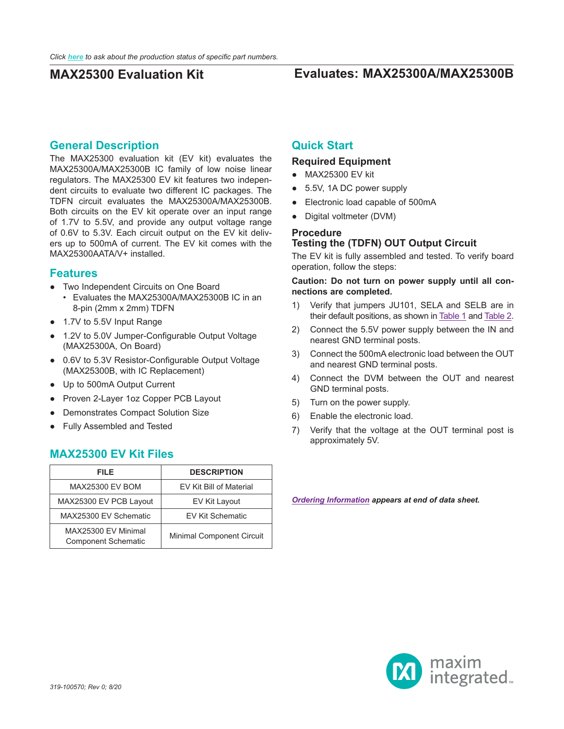## **General Description**

The MAX25300 evaluation kit (EV kit) evaluates the MAX25300A/MAX25300B IC family of low noise linear regulators. The MAX25300 EV kit features two independent circuits to evaluate two different IC packages. The TDFN circuit evaluates the MAX25300A/MAX25300B. Both circuits on the EV kit operate over an input range of 1.7V to 5.5V, and provide any output voltage range of 0.6V to 5.3V. Each circuit output on the EV kit delivers up to 500mA of current. The EV kit comes with the MAX25300AATA/V+ installed.

### **Features**

- Two Independent Circuits on One Board • Evaluates the MAX25300A/MAX25300B IC in an 8-pin (2mm x 2mm) TDFN
- 1.7V to 5.5V Input Range
- 1.2V to 5.0V Jumper-Configurable Output Voltage (MAX25300A, On Board)
- 0.6V to 5.3V Resistor-Configurable Output Voltage (MAX25300B, with IC Replacement)
- Up to 500mA Output Current
- Proven 2-Layer 1oz Copper PCB Layout
- Demonstrates Compact Solution Size
- Fully Assembled and Tested

## **MAX25300 EV Kit Files**

| FILE                                              | <b>DESCRIPTION</b>               |
|---------------------------------------------------|----------------------------------|
| <b>MAX25300 EV BOM</b>                            | EV Kit Bill of Material          |
| MAX25300 EV PCB Layout                            | EV Kit Layout                    |
| MAX25300 EV Schematic                             | <b>EV Kit Schematic</b>          |
| MAX25300 EV Minimal<br><b>Component Schematic</b> | <b>Minimal Component Circuit</b> |

## **Quick Start**

### **Required Equipment**

- MAX25300 EV kit
- 5.5V, 1A DC power supply
- Electronic load capable of 500mA
- Digital voltmeter (DVM)

## **Procedure Testing the (TDFN) OUT Output Circuit**

The EV kit is fully assembled and tested. To verify board operation, follow the steps:

**Caution: Do not turn on power supply until all connections are completed.**

- 1) Verify that jumpers JU101, SELA and SELB are in their default positions, as shown in [Table 1](#page-1-0) and [Table 2](#page-1-1).
- 2) Connect the 5.5V power supply between the IN and nearest GND terminal posts.
- 3) Connect the 500mA electronic load between the OUT and nearest GND terminal posts.
- 4) Connect the DVM between the OUT and nearest GND terminal posts.
- 5) Turn on the power supply.
- 6) Enable the electronic load.
- 7) Verify that the voltage at the OUT terminal post is approximately 5V.

*[Ordering Information](#page-2-0) appears at end of data sheet.*

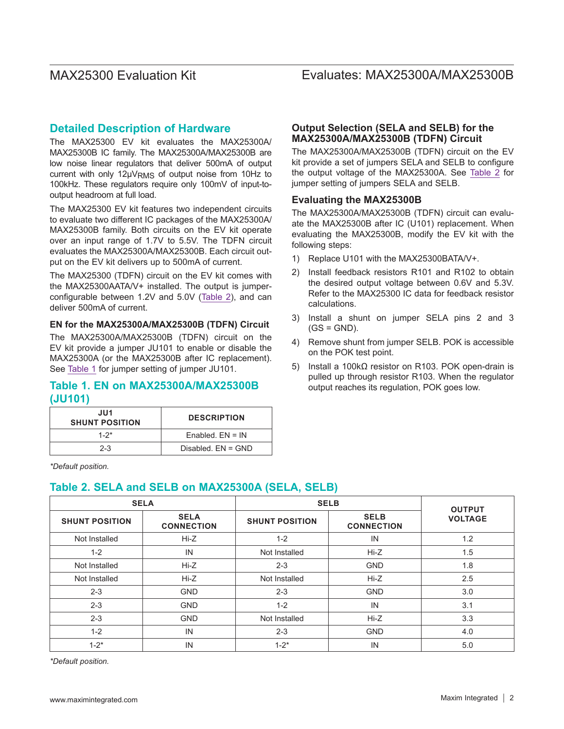## **Detailed Description of Hardware**

The MAX25300 EV kit evaluates the MAX25300A/ MAX25300B IC family. The MAX25300A/MAX25300B are low noise linear regulators that deliver 500mA of output current with only 12µVRMS of output noise from 10Hz to 100kHz. These regulators require only 100mV of input-tooutput headroom at full load.

The MAX25300 EV kit features two independent circuits to evaluate two different IC packages of the MAX25300A/ MAX25300B family. Both circuits on the EV kit operate over an input range of 1.7V to 5.5V. The TDFN circuit evaluates the MAX25300A/MAX25300B. Each circuit output on the EV kit delivers up to 500mA of current.

The MAX25300 (TDFN) circuit on the EV kit comes with the MAX25300AATA/V+ installed. The output is jumperconfigurable between 1.2V and 5.0V ([Table 2\)](#page-1-1), and can deliver 500mA of current.

### **EN for the MAX25300A/MAX25300B (TDFN) Circuit**

The MAX25300A/MAX25300B (TDFN) circuit on the EV kit provide a jumper JU101 to enable or disable the MAX25300A (or the MAX25300B after IC replacement). See [Table 1](#page-1-0) for jumper setting of jumper JU101.

### <span id="page-1-0"></span>**Table 1. EN on MAX25300A/MAX25300B (JU101)**

| JU1<br><b>SHUNT POSITION</b> | <b>DESCRIPTION</b>   |  |  |
|------------------------------|----------------------|--|--|
| $1 - 2^*$                    | $Fnabled$ $FN = IN$  |  |  |
| $2 - 3$                      | Disabled, $FN = GND$ |  |  |

*\*Default position.*

## <span id="page-1-1"></span>**Table 2. SELA and SELB on MAX25300A (SELA, SELB)**

## **SELA SELB OUTPUT SHUNT POSITION SELA VOLTAGE CONNECTION SHUNT POSITION SELB CONNECTION** Not Installed Hi-Z 1-2 IN 1.2 1-2 IN Not Installed Hi-Z 1.5 Not Installed | Hi-Z | 2-3 GND | 1.8 Not Installed Hi-Z Not Installed Hi-Z 2.5 2-3 GND 2-3 GND 3.0 2-3 | GND | 1-2 | IN | 3.1 2-3 GND Not Installed Hi-Z 3.3 1-2 | IN | 2-3 | GND | 4.0 1-2\* | IN  $1-2^*$  | IN 5.0

*\*Default position.*

### www.maximintegrated.com Maxim Integrated | 2

### **Output Selection (SELA and SELB) for the MAX25300A/MAX25300B (TDFN) Circuit**

The MAX25300A/MAX25300B (TDFN) circuit on the EV kit provide a set of jumpers SELA and SELB to configure the output voltage of the MAX25300A. See [Table 2](#page-1-1) for jumper setting of jumpers SELA and SELB.

### **Evaluating the MAX25300B**

The MAX25300A/MAX25300B (TDFN) circuit can evaluate the MAX25300B after IC (U101) replacement. When evaluating the MAX25300B, modify the EV kit with the following steps:

- 1) Replace U101 with the MAX25300BATA/V+.
- 2) Install feedback resistors R101 and R102 to obtain the desired output voltage between 0.6V and 5.3V. Refer to the MAX25300 IC data for feedback resistor calculations.
- 3) Install a shunt on jumper SELA pins 2 and 3  $(GS = GND)$ .
- 4) Remove shunt from jumper SELB. POK is accessible on the POK test point.
- 5) Install a 100kΩ resistor on R103. POK open-drain is pulled up through resistor R103. When the regulator output reaches its regulation, POK goes low.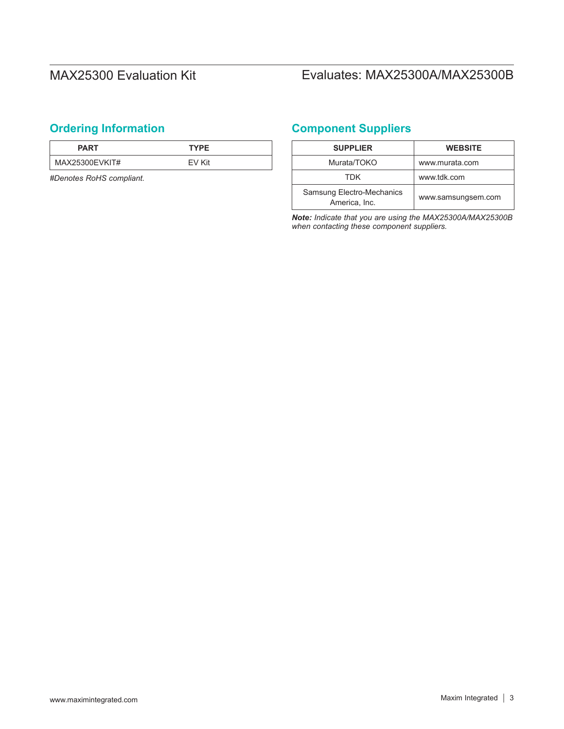# <span id="page-2-0"></span>**Ordering Information <b>Component Suppliers**

| <b>PART</b>    | <b>TYPE</b> |  |
|----------------|-------------|--|
| MAX25300EVKIT# | FV Kit      |  |

*#Denotes RoHS compliant.*

| <b>SUPPLIER</b>                                   | <b>WEBSITE</b>     |
|---------------------------------------------------|--------------------|
| Murata/TOKO                                       | www.murata.com     |
| TDK                                               | www.tdk.com        |
| <b>Samsung Electro-Mechanics</b><br>America, Inc. | www.samsungsem.com |

*Note: Indicate that you are using the MAX25300A/MAX25300B when contacting these component suppliers.*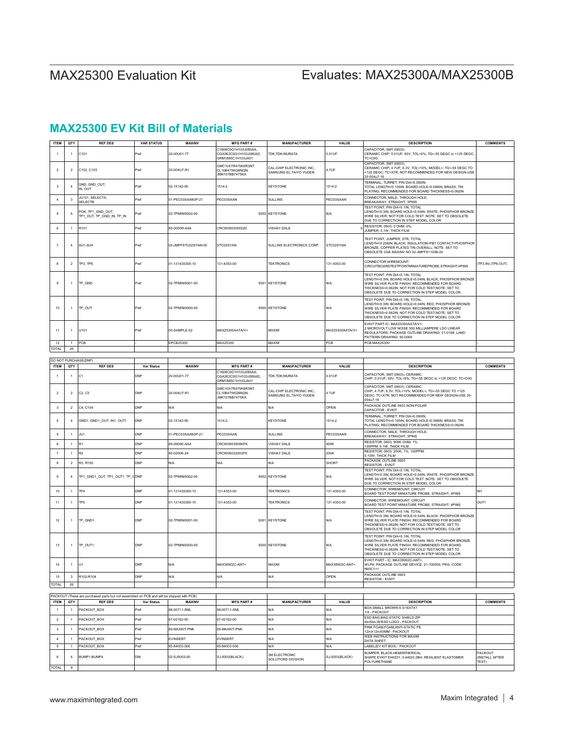| <b>ITEM</b>         | QTY                            | <b>REF DES</b>                                                                            | <b>VAR STATUS</b> | MAXINV                       | <b>MFG PART#</b>                                                             | <b>MANUFACTURER</b>                                                           | VALUE           | <b>DESCRIPTION</b>                                                                                                                                                                                                                                    | <b>COMMENTS</b>                    |
|---------------------|--------------------------------|-------------------------------------------------------------------------------------------|-------------------|------------------------------|------------------------------------------------------------------------------|-------------------------------------------------------------------------------|-----------------|-------------------------------------------------------------------------------------------------------------------------------------------------------------------------------------------------------------------------------------------------------|------------------------------------|
| $\overline{1}$      | 1                              | C101                                                                                      | Pref              | 20-00U01-77                  | C1608C0G1H103J080AA;<br>CGA3E2C0G1H103J080AD;<br>GRM1885C1H103JA01           | TDK;TDK;MURATA                                                                | 0.01UF          | CAPACITOR; SMT (0603);<br>CERAMIC CHIP; 0.01UF; 50V; TOL=5%; TG=-55 DEGC to +125 DEGC;<br>TC=C0G                                                                                                                                                      |                                    |
| $\overline{2}$      | $\overline{2}$                 | C102, C103                                                                                | Pref              | 20-004U7-R1                  | GMC10X7R475K6R3NT;<br>CL10B475KQ8NQN;<br><b>MK107BB7475KA</b>                | CAL-CHIP ELECTRONIC INC.;<br>SAMSUNG EL; TAIYO YUDEN                          | 4.7UF           | CAPACITOR; SMT (0603);<br>CERAMIC CHIP; 4.7UF; 6.3V; TOL=10%; MODEL=; TG=-55 DEGC TO<br>125 DEGC; TC=X7R; NOT RECOMMENDED FOR NEW DESIGN-USE<br>0-004u7-16                                                                                            |                                    |
| $\mathbf{3}$        |                                | GND, GND_OUT,<br>IN, OUT                                                                  | Pref              | 02-15142-00                  | 1514-2                                                                       | KEYSTONE                                                                      | 1514-2          | TERMINAL; TURRET; PIN DIA=0.090IN;<br>TOTAL LENGTH=0.105IN; BOARD HOLE=0.098IN; BRASS; TIN<br>PLATING; RECOMMENDED FOR BOARD THICKNESS=0.062IN                                                                                                        |                                    |
| $\overline{4}$      | 3                              | JU101, SELECTA,<br><b>SELECTB</b>                                                         | Pref              | 01-PEC03SAAN3P-21            | PEC03SAAN                                                                    | <b>SULLINS</b>                                                                | PEC03SAAN       | CONNECTOR; MALE; THROUGH HOLE;<br><b>BREAKAWAY; STRAIGHT; 3PINS</b>                                                                                                                                                                                   |                                    |
| $\,$ 5 $\,$         | 5                              | POK, TP1_GND_OUT,<br>TP1_OUT, TP_GND_IN, TP_IN                                            | Pref              | 02-TPMINI5002-00             |                                                                              | 5002 KEYSTONE                                                                 | N/A             | TEST POINT; PIN DIA=0.1IN; TOTAL<br>LENGTH=0.3IN; BOARD HOLE=0.04IN; WHITE; PHOSPHOR BRONZE<br>WIRE SILVER; NOT FOR COLD TEST ;NOTE: SET TO OBSOLETE<br>DUE TO CORRECTION IN STEP MODEL COLOR                                                         |                                    |
| 6                   | $\mathbf{1}$                   | R101                                                                                      | Pref              | 80-0000R-AA6                 | CRCW06030000Z0                                                               | <b>VISHAY DALE</b>                                                            |                 | RESISTOR; 0603; 0 OHM; 0%;<br>UMPER; 0.1W; THICK FILM                                                                                                                                                                                                 |                                    |
| $\overline{7}$      | 4                              | SU1-SU4                                                                                   | Pref              | 02-JMPFSTC02SYAN-00          | STC02SYAN                                                                    | SULLINS ELECTRONICS CORP.                                                     | STC02SYAN       | <b>FEST POINT; JUMPER; STR; TOTAL</b><br>LENGTH=0.256IN; BLACK; INSULATION=PBT CONTACT=PHOSPHOR<br>BRONZE: COPPER PLATED TIN OVERALL: NOTE: SET TO<br>OBSOLETE USE MAXINV NO 02-JMPFS1100B-00                                                         |                                    |
| 8                   | $\overline{2}$                 | TP3, TP6                                                                                  | Pref              | 01-131435300-10              | 131-4353-00                                                                  | <b>TEKTRONICS</b>                                                             | 131-4353-00     | CONNECTOR; WIREMOUNT;<br>CIRCUITBOARDTESTPOINTMINIATUREPROBE;STRAIGHT;4PINS                                                                                                                                                                           | TP3:IN) (TP6:OUT)                  |
| $\boldsymbol{9}$    | 1                              | TP_GND                                                                                    | Pref              | 02-TPMINI5001-00             | 500                                                                          | <b>KEYSTONE</b>                                                               | N/A             | TEST POINT; PIN DIA=0.1IN; TOTAL<br>LENGTH=0.3IN; BOARD HOLE=0.04IN; BLACK; PHOSPHOR BRONZE<br>WIRE SILVER PLATE FINISH; RECOMMENDED FOR BOARD<br>THICKNESS=0.062IN; NOT FOR COLD TEST;NOTE: SET TO<br>OBSOLETE DUE TO CORRECTION IN STEP MODEL COLOR |                                    |
| 10                  | 1                              | TP_OUT                                                                                    | Pref              | 02-TPMINI5000-00             |                                                                              | 5000 KEYSTONE                                                                 | N/A             | TEST POINT; PIN DIA=0.1IN; TOTAL<br>LENGTH=0.3IN; BOARD HOLE=0.04IN; RED; PHOSPHOR BRONZE<br>WIRE SILVER PLATE FINISH; RECOMMENDED FOR BOARD<br>THICKNESS=0.062IN; NOT FOR COLD TEST;NOTE: SET TO<br>OBSOLETE DUE TO CORRECTION IN STEP MODEL COLOR   |                                    |
| 11                  |                                | U101                                                                                      | Pref              | 00-SAMPLE-02                 | MAX25300AATA/V+                                                              | MAXIM                                                                         | MAX25300AATA/V+ | EVKIT PART-IC; MAX25300AATA/V+;<br>MICROVOLT LOW NOISE 500 MILLIAMPERE LDO LINEAR<br>REGULATORS; PACKAGE OUTLINE DRAWING: 21-0168; LAND<br>PATTERN DRAWING: 90-0065                                                                                   |                                    |
| 12<br>TOTAL         | $\overline{1}$<br>26           | PCB                                                                                       |                   | EPCB25300                    | MAX25300                                                                     | MAXIM                                                                         | PCB             | PCB:MAX25300                                                                                                                                                                                                                                          |                                    |
|                     |                                |                                                                                           |                   |                              |                                                                              |                                                                               |                 |                                                                                                                                                                                                                                                       |                                    |
| <b>ITEM</b>         | QTY                            | DO NOT PURCHASE(DNP)<br><b>REF DES</b>                                                    | Var Status        | MAXINV                       | <b>MFG PART#</b>                                                             | <b>MANUFACTURER</b>                                                           | VALUE           | <b>DESCRIPTION</b>                                                                                                                                                                                                                                    | <b>COMMENTS</b>                    |
| $\mathbf{1}$        | 1                              | C <sub>1</sub>                                                                            | DNP               | 20-00U01-77                  | C1608C0G1H103J080AA<br>CGA3E2C0G1H103J080AD;                                 | TDK;TDK;MURATA                                                                | 0.01UF          | CAPACITOR; SMT (0603); CERAMIC<br>CHIP; 0.01UF; 50V; TOL=5%; TG=-55 DEGC to +125 DEGC; TC=C0G                                                                                                                                                         |                                    |
| $\overline{2}$      | $\overline{2}$                 | C2, C3                                                                                    | DNP               | 20-004U7-R1                  | GRM1885C1H103JA01<br>GMC10X7R475K6R3NT:<br>CL10B475KQ8NQN;<br>JMK107BB7475KA | CAL-CHIP ELECTRONIC INC.;<br>SAMSUNG EL; TAIYO YUDEN                          | 4.7UF           | CAPACITOR; SMT (0603); CERAMIC<br>CHIP; 4.7UF; 6.3V; TOL=10%; MODEL=; TG=-55 DEGC TO +125<br>DEGC; TC=X7R; NOT RECOMMENDED FOR NEW DESIGN-USE 20-<br>04u7-16                                                                                          |                                    |
| 3                   | $\overline{2}$                 | C4. C104                                                                                  | DNP               | N/A                          | N/A                                                                          | N/A                                                                           | OPEN            | PACKAGE OUTLINE 0603 NON-POLAR<br>CAPACITOR - EVKIT                                                                                                                                                                                                   |                                    |
| $\sqrt{4}$          | 4                              | GND1, GND1_OUT, IN1, OUT1                                                                 | <b>DNP</b>        | 02-15142-00                  | 1514-2                                                                       | <b>KEYSTONE</b>                                                               | 1514-2          | TERMINAL; TURRET; PIN DIA=0.090IN;<br>TOTAL LENGTH=0.105IN; BOARD HOLE=0.098IN; BRASS; TIN<br>PLATING; RECOMMENDED FOR BOARD THICKNESS=0.062IN                                                                                                        |                                    |
| 5                   | $\mathbf{1}$                   | JU1                                                                                       | DNP               | 01-PEC03SAAN3P-21            | PEC03SAAN                                                                    | <b>SULLINS</b>                                                                | PEC03SAAN       | CONNECTOR; MALE; THROUGH HOLE;<br>BREAKAWAY; STRAIGHT; 3PINS                                                                                                                                                                                          |                                    |
| 6                   | $\mathbf{1}$                   | R <sub>1</sub>                                                                            | DNP               | 80-0909K-AA4                 | CRCW0603909KFK                                                               | VISHAY DALE                                                                   | 909K            | RESISTOR; 0603; 909K OHM; 1%;<br>100PPM; 0.1W; THICK FILM                                                                                                                                                                                             |                                    |
| $\scriptstyle{7}$   | $\mathbf{1}$                   | R <sub>2</sub>                                                                            | DNP               | 80-0200K-24                  | CRCW06032003FK                                                               | RESISTOR; 0603; 200K; 1%; 100PPM;<br>VISHAY DALE<br>200K<br>0.10W; THICK FILM |                 |                                                                                                                                                                                                                                                       |                                    |
| 8                   | $\overline{2}$                 | R3, R105                                                                                  | DNP               | N/A                          | N/A                                                                          | N/A                                                                           | SHORT           | PACKAGE OUTLINE 0603<br><b>RESISTOR - EVKIT</b>                                                                                                                                                                                                       |                                    |
| 9                   | $\overline{4}$                 | TP1_GND1_OUT, TP1_OUT1, TP_CDNP                                                           |                   | 02-TPMINI5002-00             | 5002                                                                         | <b>KEYSTONE</b>                                                               | N/A             | TEST POINT; PIN DIA=0.1IN; TOTAL<br>LENGTH=0.3IN; BOARD HOLE=0.04IN; WHITE; PHOSPHOR BRONZE<br>WIRE SILVER; NOT FOR COLD TEST ; NOTE: SET TO OBSOLETE<br>DUE TO CORRECTION IN STEP MODEL COLOR                                                        |                                    |
| $10$                | $\overline{1}$                 | TP4                                                                                       | DNP               | 01-131435300-10              | 131-4353-00                                                                  | <b>TEKTRONICS</b>                                                             | 131-4353-00     | CONNECTOR; WIREMOUNT; CIRCUIT<br>BOARD TEST POINT MINIATURE PROBE: STRAIGHT: 4PINS                                                                                                                                                                    | IN1                                |
| 11                  | 1                              | TP <sub>5</sub>                                                                           | DNP               | 01-131435300-10              | 131-4353-00                                                                  | <b>TEKTRONICS</b>                                                             | 131-4353-00     | CONNECTOR; WIREMOUNT; CIRCUIT<br>BOARD TEST POINT MINIATURE PROBE; STRAIGHT; 4PINS                                                                                                                                                                    | OUT1                               |
| $12\,$              | $\mathbf{1}$                   | TP_GND1                                                                                   | DNP               | 02-TPMINI5001-00             | 500                                                                          | <b>KEYSTONE</b>                                                               | <b>N/A</b>      | TEST POINT; PIN DIA=0.1IN; TOTAL<br>LENGTH=0.3IN; BOARD HOLE=0.04IN; BLACK; PHOSPHOR BRONZE<br>VIRE SILVER PLATE FINISH; RECOMMENDED FOR BOARD<br>THICKNESS=0.062IN; NOT FOR COLD TEST;NOTE: SET TO<br>OBSOLETE DUE TO CORRECTION IN STEP MODEL COLOR |                                    |
| 13                  | $\mathbf{1}$                   | TP_OUT1                                                                                   | <b>DNP</b>        | 02-TPMINI5000-00             |                                                                              | 5000 KEYSTONE                                                                 | N/A             | TEST POINT; PIN DIA=0.1IN; TOTAL<br>LENGTH=0.3IN; BOARD HOLE=0.04IN; RED; PHOSPHOR BRONZE<br>WIRE SILVER PLATE FINISH; RECOMMENDED FOR BOARD<br>THICKNESS=0.062IN; NOT FOR COLD TEST;NOTE: SET TO<br>OBSOLETE DUE TO CORRECTION IN STEP MODEL COLOR   |                                    |
| 14                  |                                |                                                                                           |                   |                              |                                                                              |                                                                               |                 |                                                                                                                                                                                                                                                       |                                    |
|                     | 1                              | U1                                                                                        | DNP               | N/A                          | MAX38902C-ANT+                                                               | MAXIM                                                                         | MAX38902C-ANT+  | EVKIT PART - IC; MAX38902C-ANT+;<br>VLP6; PACKAGE OUTLINE DEVICE: 21-100055; PKG. CODE:<br><b>N60C1+1</b>                                                                                                                                             |                                    |
| 15                  | $\overline{\mathbf{3}}$        | R102-R104                                                                                 | <b>DNP</b>        | N/A                          | N/A                                                                          | N/A                                                                           | OPEN            | PACKAGE OUTLINE 0603<br>RESISTOR - EVKIT                                                                                                                                                                                                              |                                    |
|                     | 26                             |                                                                                           |                   |                              |                                                                              |                                                                               |                 |                                                                                                                                                                                                                                                       |                                    |
|                     |                                | PACKOUT (These are purchased parts but not assembled on PCB and will be shipped with PCB) |                   |                              |                                                                              |                                                                               |                 |                                                                                                                                                                                                                                                       |                                    |
| <b>ITEM</b>         | QTY                            | <b>REF DES</b>                                                                            | Var Status        | <b>MAXINV</b>                | <b>MFG PART#</b>                                                             | <b>MANUFACTURER</b>                                                           | VALUE           | <b>DESCRIPTION</b><br>BOX; SMALL BROWN 9 3/16X7X1                                                                                                                                                                                                     | <b>COMMENTS</b>                    |
| $\mathbf{1}$        | $\overline{1}$                 | PACKOUT_BOX                                                                               | Pref              | 88-00711-SML                 | 88-00711-SML                                                                 | N/A                                                                           | N/A             | 1/4 - PACKOUT<br>ESD BAG:BAG:STATIC SHIELD ZIP                                                                                                                                                                                                        |                                    |
| TOTAL<br>$\sqrt{2}$ | 1                              | PACKOUT_BOX                                                                               | Pref              | 87-02162-00                  | 87-02162-00                                                                  | N/A                                                                           | N/A             | 4inX6in;W/ESD LOGO - PACKOUT<br>PINK FOAM:FOAM:ANTI-STATIC PE                                                                                                                                                                                         |                                    |
| $\mathbf{3}$        | $\mathbf{1}$                   | PACKOUT BOX                                                                               | Pref              | 85-MAXKIT-PNK                | 85-MAXKIT-PNK                                                                | N/A                                                                           | N/A             | 12inX12inX5MM - PACKOUT<br>WEB INSTRUCTIONS FOR MAXIM                                                                                                                                                                                                 |                                    |
| $\overline{4}$<br>5 | $\overline{1}$<br>$\mathbf{1}$ | PACKOUT_BOX                                                                               | Pref<br>Pref      | EVINSERT                     | EVINSERT                                                                     | N/A<br>N/A                                                                    | N/A<br>N/A      | DATA SHEET                                                                                                                                                                                                                                            |                                    |
| 6                   | $\overline{4}$                 | PACKOUT_BOX<br>BUMP1-BUMP4                                                                | DNI               | 85-84003-006<br>02-SJ5003-00 | 85-84003-006<br>SJ-5003(BLACK)                                               | 3M ELECTRONIC<br>SOLUTIONS DIVISION                                           | SJ-5003(BLACK)  | <b>LABEL(EV KIT BOX) - PACKOUT</b><br><b>BUMPER; BLACK-HEMISPHERICAL</b><br>SHAPE EVKIT EH0231; 0.44D/0.2BH; RESILIENT ELASTOMER<br><b>OLYURETHANE</b>                                                                                                | PACKOUT<br>(INSTALL AFTER<br>TEST) |

## **MAX25300 EV Kit Bill of Materials**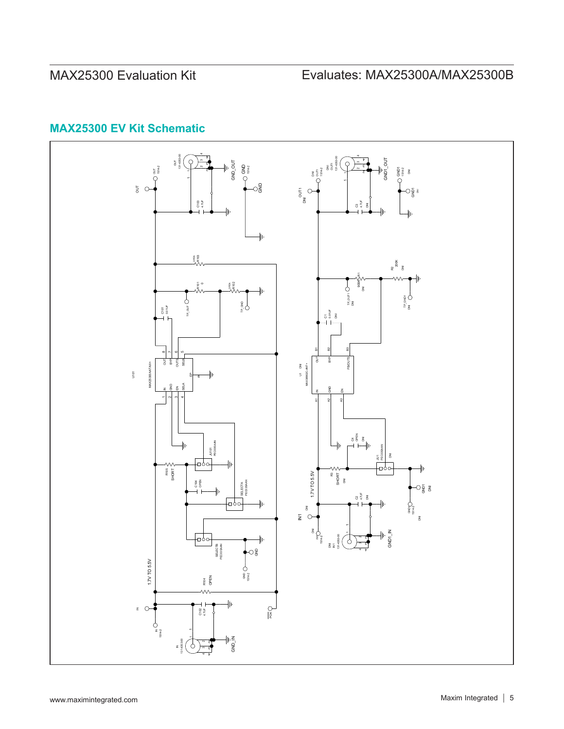

# **MAX25300 EV Kit Schematic**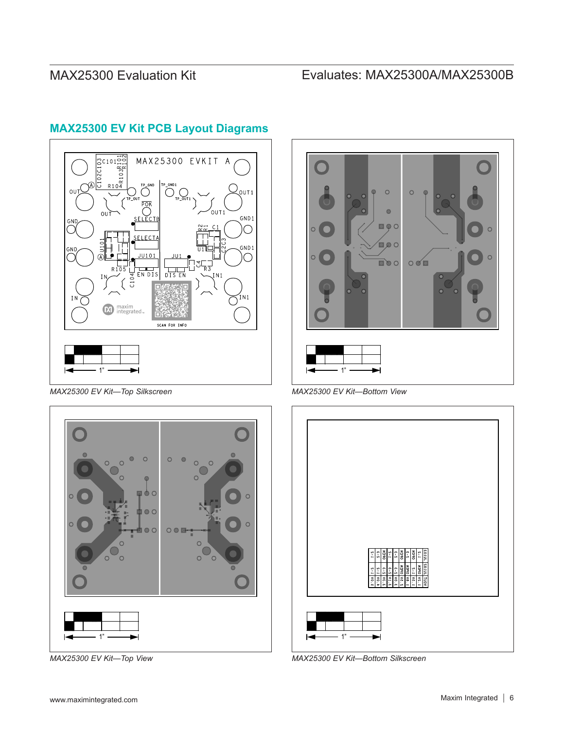

# **MAX25300 EV Kit PCB Layout Diagrams**

*MAX25300 EV Kit—Top Silkscreen MAX25300 EV Kit—Bottom View*







*MAX25300 EV Kit—Top View MAX25300 EV Kit—Bottom Silkscreen*